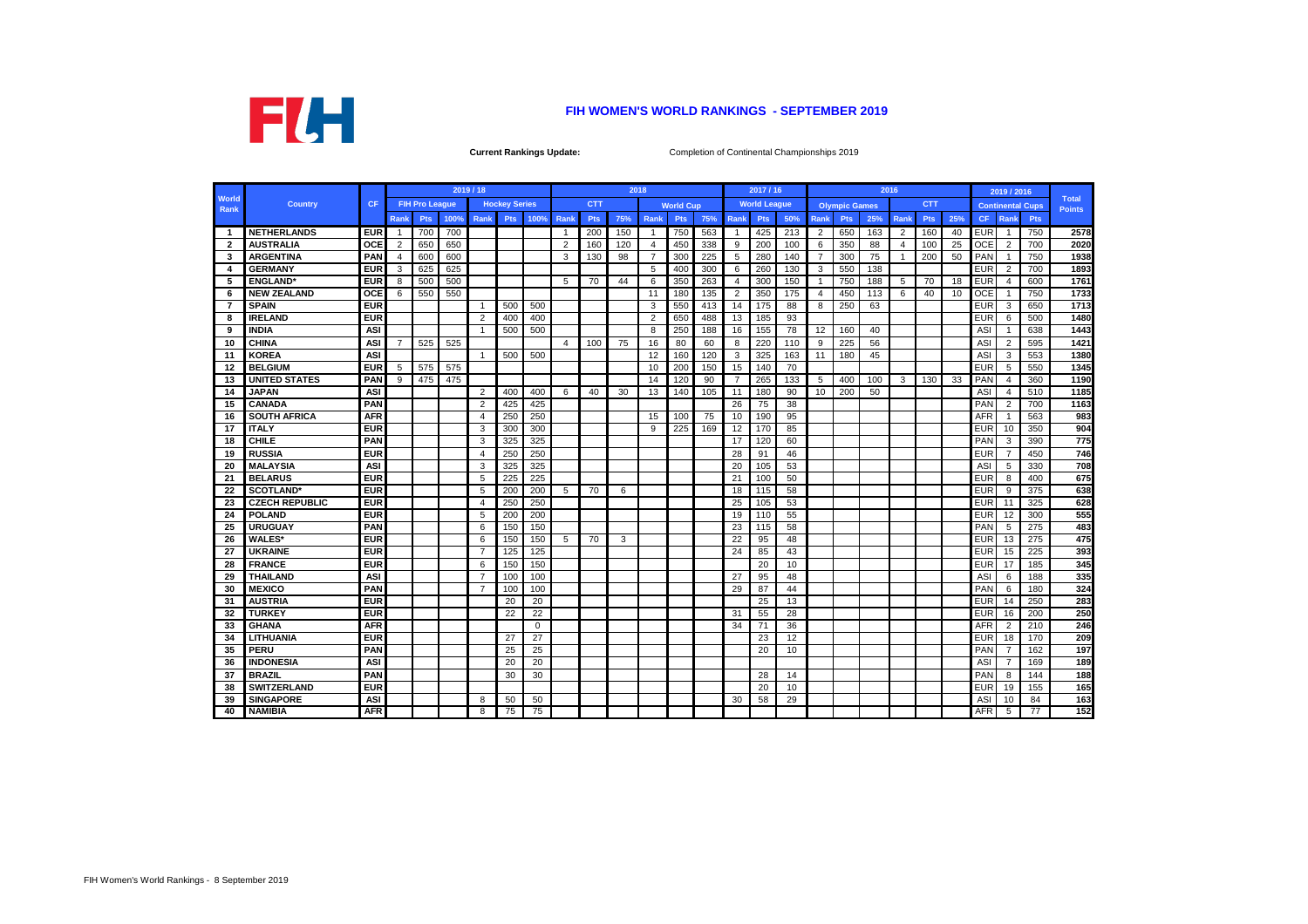|                      |                       |            |                |                       |      | 2019 / 18      |                      |          |             |            |     | 2018           |                  |     |                 | 2017 / 16           |     |                |                      | 2016 |                |            |     |            | 2019 / 2016    |                         |                               |
|----------------------|-----------------------|------------|----------------|-----------------------|------|----------------|----------------------|----------|-------------|------------|-----|----------------|------------------|-----|-----------------|---------------------|-----|----------------|----------------------|------|----------------|------------|-----|------------|----------------|-------------------------|-------------------------------|
| <b>World</b><br>Rank | <b>Country</b>        | <b>CF</b>  |                | <b>FIH Pro League</b> |      |                | <b>Hockey Series</b> |          |             | <b>CTT</b> |     |                | <b>World Cup</b> |     |                 | <b>World League</b> |     |                | <b>Olympic Games</b> |      |                | <b>CTT</b> |     |            |                | <b>Continental Cups</b> | <b>Total</b><br><b>Points</b> |
|                      |                       |            | <b>Rank</b>    | <b>Pts</b>            | 100% | Rank           | <b>Pts</b>           | 100%     | <b>Rank</b> | <b>Pts</b> | 75% | <b>Rank</b>    | <b>Pts</b>       | 75% | <b>Rank</b>     | <b>Pts</b>          | 50% | Rank           | <b>Pts</b>           | 25%  | Rank           | <b>Pts</b> | 25% | <b>CF</b>  | Rank           | <b>Pts</b>              |                               |
| $\overline{1}$       | <b>NETHERLANDS</b>    | <b>EUR</b> | -1             | 700                   | 700  |                |                      |          |             | 200        | 150 | $\mathbf{1}$   | 750              | 563 | $\overline{1}$  | 425                 | 213 | $\overline{2}$ | 650                  | 163  | 2              | 160        | 40  | <b>EUR</b> | $\overline{1}$ | 750                     | 2578                          |
| $\overline{2}$       | <b>AUSTRALIA</b>      | <b>OCE</b> | $\overline{2}$ | 650                   | 650  |                |                      |          | 2           | 160        | 120 | $\overline{4}$ | 450              | 338 | 9               | 200                 | 100 | 6              | 350                  | 88   | $\overline{4}$ | 100        | 25  | <b>OCE</b> | $\overline{2}$ | 700                     | 2020                          |
| 3                    | <b>ARGENTINA</b>      | <b>PAN</b> | $\overline{4}$ | 600                   | 600  |                |                      |          | 3           | 130        | 98  | $\overline{7}$ | 300              | 225 | 5               | 280                 | 140 | 7              | 300                  | 75   | $\overline{1}$ | 200        | 50  | <b>PAN</b> | $\overline{1}$ | 750                     | 1938                          |
| 4                    | <b>GERMANY</b>        | <b>EUR</b> | 3              | 625                   | 625  |                |                      |          |             |            |     | 5              | 400              | 300 | 6               | 260                 | 130 | 3              | 550                  | 138  |                |            |     | <b>EUR</b> | $\overline{2}$ | 700                     | 1893                          |
| -5                   | <b>ENGLAND</b> *      | <b>EUR</b> | 8              | 500                   | 500  |                |                      |          | 5           | 70         | 44  | 6              | 350              | 263 | 4               | 300                 | 150 | -1             | 750                  | 188  | -5             | 70         | 18  | <b>EUR</b> | $\overline{4}$ | 600                     | 1761                          |
| 6                    | <b>NEW ZEALAND</b>    | <b>OCE</b> | 6              | 550                   | 550  |                |                      |          |             |            |     | 11             | 180              | 135 | $\overline{2}$  | 350                 | 175 | $\overline{4}$ | 450                  | 113  | 6              | 40         | 10  | <b>OCE</b> | - 1            | 750                     | 1733                          |
| $\overline{7}$       | <b>SPAIN</b>          | <b>EUR</b> |                |                       |      |                | 500                  | 500      |             |            |     | 3              | 550              | 413 | 14              | 175                 | 88  | 8              | 250                  | 63   |                |            |     | <b>EUR</b> | $\mathbf{3}$   | 650                     | 1713                          |
| 8                    | <b>IRELAND</b>        | <b>EUR</b> |                |                       |      | 2              | 400                  | 400      |             |            |     | 2              | 650              | 488 | 13              | 185                 | 93  |                |                      |      |                |            |     | <b>EUR</b> | -6             | 500                     | 1480                          |
| 9                    | <b>INDIA</b>          | <b>ASI</b> |                |                       |      |                | 500                  | 500      |             |            |     | 8              | 250              | 188 | 16              | 155                 | 78  | 12             | 160                  | 40   |                |            |     | <b>ASI</b> | $\overline{1}$ | 638                     | 1443                          |
| 10                   | <b>CHINA</b>          | <b>ASI</b> | $\overline{7}$ | 525                   | 525  |                |                      |          | 4           | 100        | 75  | 16             | 80               | 60  | 8               | 220                 | 110 | 9              | 225                  | 56   |                |            |     | <b>ASI</b> | $\overline{2}$ | 595                     | 1421                          |
| 11                   | <b>KOREA</b>          | <b>ASI</b> |                |                       |      | -1             | 500                  | 500      |             |            |     | 12             | 160              | 120 | 3               | 325                 | 163 | 11             | 180                  | 45   |                |            |     | <b>ASI</b> | 3              | 553                     | 1380                          |
| 12                   | <b>BELGIUM</b>        | <b>EUR</b> | 5              | 575                   | 575  |                |                      |          |             |            |     | 10             | 200              | 150 | 15              | 140                 | 70  |                |                      |      |                |            |     | <b>EUR</b> | 5              | 550                     | 1345                          |
| 13                   | <b>UNITED STATES</b>  | <b>PAN</b> | 9              | 475                   | 475  |                |                      |          |             |            |     | 14             | 120              | 90  | $\overline{7}$  | 265                 | 133 | 5              | 400                  | 100  | 3              | 130        | 33  | PAN        | $\overline{4}$ | 360                     | 1190                          |
| 14                   | <b>JAPAN</b>          | <b>ASI</b> |                |                       |      | 2              | 400                  | 400      | 6           | 40         | 30  | 13             | 140              | 105 | 11              | 180                 | 90  | 10             | 200                  | 50   |                |            |     | <b>ASI</b> | $\overline{4}$ | 510                     | 1185                          |
| 15                   | <b>CANADA</b>         | <b>PAN</b> |                |                       |      | 2              | 425                  | 425      |             |            |     |                |                  |     | 26              | 75                  | 38  |                |                      |      |                |            |     | <b>PAN</b> | $\overline{2}$ | 700                     | 1163                          |
| 16                   | <b>SOUTH AFRICA</b>   | <b>AFR</b> |                |                       |      | 4              | 250                  | 250      |             |            |     | 15             | 100              | 75  | 10              | 190                 | 95  |                |                      |      |                |            |     | <b>AFR</b> | -1             | 563                     | 983                           |
| 17                   | <b>ITALY</b>          | <b>EUR</b> |                |                       |      | 3              | 300                  | 300      |             |            |     | 9              | 225              | 169 | 12              | 170                 | 85  |                |                      |      |                |            |     | <b>EUR</b> | 10             | 350                     | 904                           |
| 18                   | <b>CHILE</b>          | <b>PAN</b> |                |                       |      | 3              | 325                  | 325      |             |            |     |                |                  |     | 17              | 120                 | 60  |                |                      |      |                |            |     | <b>PAN</b> | 3              | 390                     | 775                           |
| 19                   | <b>RUSSIA</b>         | <b>EUR</b> |                |                       |      | 4              | 250                  | 250      |             |            |     |                |                  |     | 28              | 91                  | 46  |                |                      |      |                |            |     | EUR        | -7             | 450                     | 746                           |
| 20                   | <b>MALAYSIA</b>       | <b>ASI</b> |                |                       |      | 3              | 325                  | 325      |             |            |     |                |                  |     | 20              | 105                 | 53  |                |                      |      |                |            |     | <b>ASI</b> | 5              | 330                     | 708                           |
| 21                   | <b>BELARUS</b>        | <b>EUR</b> |                |                       |      | 5              | 225                  | 225      |             |            |     |                |                  |     | $\overline{21}$ | 100                 | 50  |                |                      |      |                |            |     | <b>EUR</b> | 8              | 400                     | 675                           |
| 22                   | <b>SCOTLAND*</b>      | <b>EUR</b> |                |                       |      | 5              | 200                  | 200      | 5           | 70         | 6   |                |                  |     | 18              | 115                 | 58  |                |                      |      |                |            |     | <b>EUR</b> | 9              | 375                     | 638                           |
| 23                   | <b>CZECH REPUBLIC</b> | <b>EUR</b> |                |                       |      | $\overline{4}$ | 250                  | 250      |             |            |     |                |                  |     | 25              | 105                 | 53  |                |                      |      |                |            |     | EUR        | 11             | 325                     | 628                           |
| 24                   | <b>POLAND</b>         | <b>EUR</b> |                |                       |      | 5              | 200                  | 200      |             |            |     |                |                  |     | 19              | 110                 | 55  |                |                      |      |                |            |     | <b>EUR</b> | 12             | 300                     | 555                           |
| 25                   | <b>URUGUAY</b>        | <b>PAN</b> |                |                       |      | 6              | 150                  | 150      |             |            |     |                |                  |     | 23              | 115                 | 58  |                |                      |      |                |            |     | PAN        | -5             | 275                     | 483                           |
| 26                   | <b>WALES*</b>         | <b>EUR</b> |                |                       |      | 6              | 150                  | 150      | 5           | 70         | 3   |                |                  |     | 22              | 95                  | 48  |                |                      |      |                |            |     | <b>EUR</b> | 13             | 275                     | 475                           |
| 27                   | <b>UKRAINE</b>        | <b>EUR</b> |                |                       |      | 7              | 125                  | 125      |             |            |     |                |                  |     | 24              | 85                  | 43  |                |                      |      |                |            |     | <b>EUR</b> | 15             | 225                     | 393                           |
| 28                   | <b>FRANCE</b>         | <b>EUR</b> |                |                       |      | 6              | 150                  | 150      |             |            |     |                |                  |     |                 | 20                  | 10  |                |                      |      |                |            |     | <b>EUR</b> | 17             | 185                     | 345                           |
| 29                   | <b>THAILAND</b>       | <b>ASI</b> |                |                       |      |                | 100                  | 100      |             |            |     |                |                  |     | 27              | 95                  | 48  |                |                      |      |                |            |     | <b>ASI</b> | -6             | 188                     | 335                           |
| 30                   | <b>MEXICO</b>         | <b>PAN</b> |                |                       |      | $\overline{7}$ | 100                  | 100      |             |            |     |                |                  |     | 29              | 87                  | 44  |                |                      |      |                |            |     | <b>PAN</b> | 6              | 180                     | 324                           |
| 31                   | <b>AUSTRIA</b>        | <b>EUR</b> |                |                       |      |                | 20                   | 20       |             |            |     |                |                  |     |                 | 25                  | 13  |                |                      |      |                |            |     | <b>EUR</b> | 14             | 250                     | 283                           |
| 32                   | <b>TURKEY</b>         | <b>EUR</b> |                |                       |      |                | 22                   | 22       |             |            |     |                |                  |     | 31              | 55                  | 28  |                |                      |      |                |            |     | <b>EUR</b> | 16             | 200                     | 250                           |
| 33                   | <b>GHANA</b>          | <b>AFR</b> |                |                       |      |                |                      | $\Omega$ |             |            |     |                |                  |     | 34              | 71                  | 36  |                |                      |      |                |            |     | <b>AFR</b> | $\overline{2}$ | 210                     | 246                           |
| 34                   | <b>LITHUANIA</b>      | <b>EUR</b> |                |                       |      |                | 27                   | 27       |             |            |     |                |                  |     |                 | 23                  | 12  |                |                      |      |                |            |     | <b>EUR</b> | 18             | 170                     | 209                           |
| 35                   | <b>PERU</b>           | <b>PAN</b> |                |                       |      |                | 25                   | 25       |             |            |     |                |                  |     |                 | 20                  | 10  |                |                      |      |                |            |     | PAN        | $\overline{7}$ | 162                     | 197                           |
| 36                   | <b>INDONESIA</b>      | <b>ASI</b> |                |                       |      |                | 20                   | 20       |             |            |     |                |                  |     |                 |                     |     |                |                      |      |                |            |     | <b>ASI</b> | $\overline{7}$ | 169                     | 189                           |
| 37                   | <b>BRAZIL</b>         | <b>PAN</b> |                |                       |      |                | 30                   | 30       |             |            |     |                |                  |     |                 | 28                  | 14  |                |                      |      |                |            |     | PAN        | 8              | 144                     | 188                           |
| 38                   | <b>SWITZERLAND</b>    | <b>EUR</b> |                |                       |      |                |                      |          |             |            |     |                |                  |     |                 | 20                  | 10  |                |                      |      |                |            |     | EUR        | 19             | 155                     | 165                           |
| 39                   | <b>SINGAPORE</b>      | <b>ASI</b> |                |                       |      | 8              | 50                   | 50       |             |            |     |                |                  |     | 30              | 58                  | 29  |                |                      |      |                |            |     | <b>ASI</b> | 10             | 84                      | 163                           |
| 40                   | <b>NAMIBIA</b>        | <b>AFR</b> |                |                       |      | 8              | 75                   | 75       |             |            |     |                |                  |     |                 |                     |     |                |                      |      |                |            |     | AFR        | 5              | 77                      | 152                           |



# **FIH WOMEN'S WORLD RANKINGS - SEPTEMBER 2019**

**Current Rankings Update:** Completion of Continental Championships 2019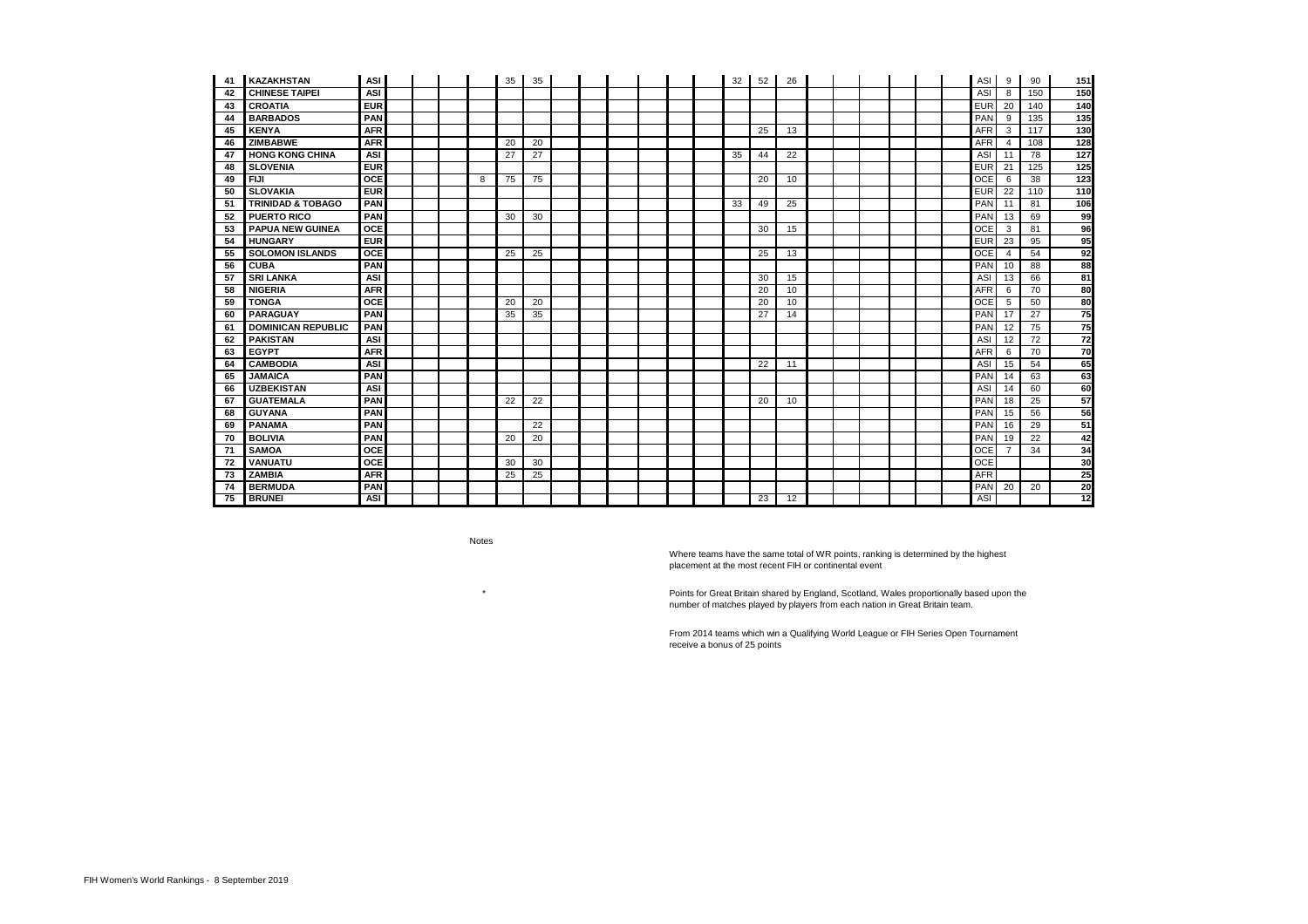| 41  | <b>KAZAKHSTAN</b>            | ASI        |  |   | 35 | 35 |  |  |  | 32 | 52 | 26              |  |  |  | ASI        | 9              | 90  | 151              |
|-----|------------------------------|------------|--|---|----|----|--|--|--|----|----|-----------------|--|--|--|------------|----------------|-----|------------------|
| 42  | <b>CHINESE TAIPEI</b>        | <b>ASI</b> |  |   |    |    |  |  |  |    |    |                 |  |  |  | ASI        | 8              | 150 | 150              |
| 43  | <b>CROATIA</b>               | <b>EUR</b> |  |   |    |    |  |  |  |    |    |                 |  |  |  | <b>EUR</b> | 20             | 140 | 140              |
| 44  | <b>BARBADOS</b>              | <b>PAN</b> |  |   |    |    |  |  |  |    |    |                 |  |  |  | PAN        | 9              | 135 | 135              |
| 45  | <b>KENYA</b>                 | <b>AFR</b> |  |   |    |    |  |  |  |    | 25 | 13              |  |  |  | <b>AFR</b> | $\mathbf{3}$   | 117 | $\overline{130}$ |
| 46  | <b>ZIMBABWE</b>              | <b>AFR</b> |  |   | 20 | 20 |  |  |  |    |    |                 |  |  |  | <b>AFR</b> | 4              | 108 | 128              |
| 47  | <b>HONG KONG CHINA</b>       | <b>ASI</b> |  |   | 27 | 27 |  |  |  | 35 | 44 | 22              |  |  |  | ASI        | 11             | 78  | 127              |
| 48  | <b>SLOVENIA</b>              | <b>EUR</b> |  |   |    |    |  |  |  |    |    |                 |  |  |  | <b>EUR</b> | 21             | 125 | $\overline{125}$ |
| 49  | <b>FIJI</b>                  | <b>OCE</b> |  | 8 | 75 | 75 |  |  |  |    | 20 | 10              |  |  |  | <b>OCE</b> | 6              | 38  | 123              |
| 50  | <b>SLOVAKIA</b>              | <b>EUR</b> |  |   |    |    |  |  |  |    |    |                 |  |  |  | <b>EUR</b> | 22             | 110 | $\frac{1}{10}$   |
| -51 | <b>TRINIDAD &amp; TOBAGO</b> | <b>PAN</b> |  |   |    |    |  |  |  | 33 | 49 | 25              |  |  |  | PAN        | 11             | 81  | 106              |
| 52  | <b>PUERTO RICO</b>           | <b>PAN</b> |  |   | 30 | 30 |  |  |  |    |    |                 |  |  |  | PAN        | 13             | 69  | 99               |
| 53  | <b>PAPUA NEW GUINEA</b>      | <b>OCE</b> |  |   |    |    |  |  |  |    | 30 | 15              |  |  |  | <b>OCE</b> | $\mathbf{3}$   | 81  | 96               |
| 54  | <b>HUNGARY</b>               | <b>EUR</b> |  |   |    |    |  |  |  |    |    |                 |  |  |  | <b>EUR</b> | 23             | 95  | 95               |
| 55  | <b>SOLOMON ISLANDS</b>       | <b>OCE</b> |  |   | 25 | 25 |  |  |  |    | 25 | 13              |  |  |  | <b>OCE</b> | $\overline{4}$ | 54  | 92               |
| 56  | <b>CUBA</b>                  | <b>PAN</b> |  |   |    |    |  |  |  |    |    |                 |  |  |  | PAN        | 10             | 88  | 88               |
| 57  | <b>SRI LANKA</b>             | <b>ASI</b> |  |   |    |    |  |  |  |    | 30 | 15              |  |  |  | ASI        | 13             | 66  | $\overline{81}$  |
| 58  | <b>NIGERIA</b>               | <b>AFR</b> |  |   |    |    |  |  |  |    | 20 | 10              |  |  |  | <b>AFR</b> | 6              | 70  | 80               |
| 59  | <b>TONGA</b>                 | <b>OCE</b> |  |   | 20 | 20 |  |  |  |    | 20 | 10              |  |  |  | <b>OCE</b> | 5              | 50  | 80               |
| 60  | <b>PARAGUAY</b>              | <b>PAN</b> |  |   | 35 | 35 |  |  |  |    | 27 | 14              |  |  |  | PAN        | 17             | 27  | 75               |
| 61  | <b>DOMINICAN REPUBLIC</b>    | <b>PAN</b> |  |   |    |    |  |  |  |    |    |                 |  |  |  | PAN        | 12             | 75  | 75               |
| 62  | <b>PAKISTAN</b>              | <b>ASI</b> |  |   |    |    |  |  |  |    |    |                 |  |  |  | ASI        | 12             | 72  | 72               |
| 63  | <b>EGYPT</b>                 | <b>AFR</b> |  |   |    |    |  |  |  |    |    |                 |  |  |  | <b>AFR</b> | 6              | 70  | $\overline{70}$  |
| 64  | <b>CAMBODIA</b>              | <b>ASI</b> |  |   |    |    |  |  |  |    | 22 | 11              |  |  |  | ASI        | 15             | 54  | 65               |
| 65  | <b>JAMAICA</b>               | <b>PAN</b> |  |   |    |    |  |  |  |    |    |                 |  |  |  | PAN        | 14             | 63  | 63               |
| 66  | <b>UZBEKISTAN</b>            | <b>ASI</b> |  |   |    |    |  |  |  |    |    |                 |  |  |  | <b>ASI</b> | 14             | 60  | 60               |
| 67  | <b>GUATEMALA</b>             | <b>PAN</b> |  |   | 22 | 22 |  |  |  |    | 20 | 10              |  |  |  | PAN        | 18             | 25  | 57               |
| 68  | <b>GUYANA</b>                | <b>PAN</b> |  |   |    |    |  |  |  |    |    |                 |  |  |  | PAN        | 15             | 56  | 56               |
| 69  | <b>PANAMA</b>                | <b>PAN</b> |  |   |    | 22 |  |  |  |    |    |                 |  |  |  | PAN        | 16             | 29  | 51               |
| 70  | <b>BOLIVIA</b>               | <b>PAN</b> |  |   | 20 | 20 |  |  |  |    |    |                 |  |  |  | PAN        | 19             | 22  | 42               |
| 71  | <b>SAMOA</b>                 | <b>OCE</b> |  |   |    |    |  |  |  |    |    |                 |  |  |  | <b>OCE</b> | $\overline{7}$ | 34  | 34               |
| 72  | <b>VANUATU</b>               | <b>OCE</b> |  |   | 30 | 30 |  |  |  |    |    |                 |  |  |  | OCE        |                |     | 30               |
| 73  | <b>ZAMBIA</b>                | <b>AFR</b> |  |   | 25 | 25 |  |  |  |    |    |                 |  |  |  | <b>AFR</b> |                |     | 25               |
| 74  | <b>BERMUDA</b>               | <b>PAN</b> |  |   |    |    |  |  |  |    |    |                 |  |  |  | PAN        | 20             | 20  | 20               |
| 75  | <b>BRUNEI</b>                | <b>ASI</b> |  |   |    |    |  |  |  |    | 23 | $\overline{12}$ |  |  |  | <b>ASI</b> |                |     | $\overline{12}$  |

Where teams have the same total of WR points, ranking is determined by the highest placement at the most recent FIH or continental event

Notes

\*

From 2014 teams which win a Qualifying World League or FIH Series Open Tournament receive a bonus of 25 points

Points for Great Britain shared by England, Scotland, Wales proportionally based upon the number of matches played by players from each nation in Great Britain team.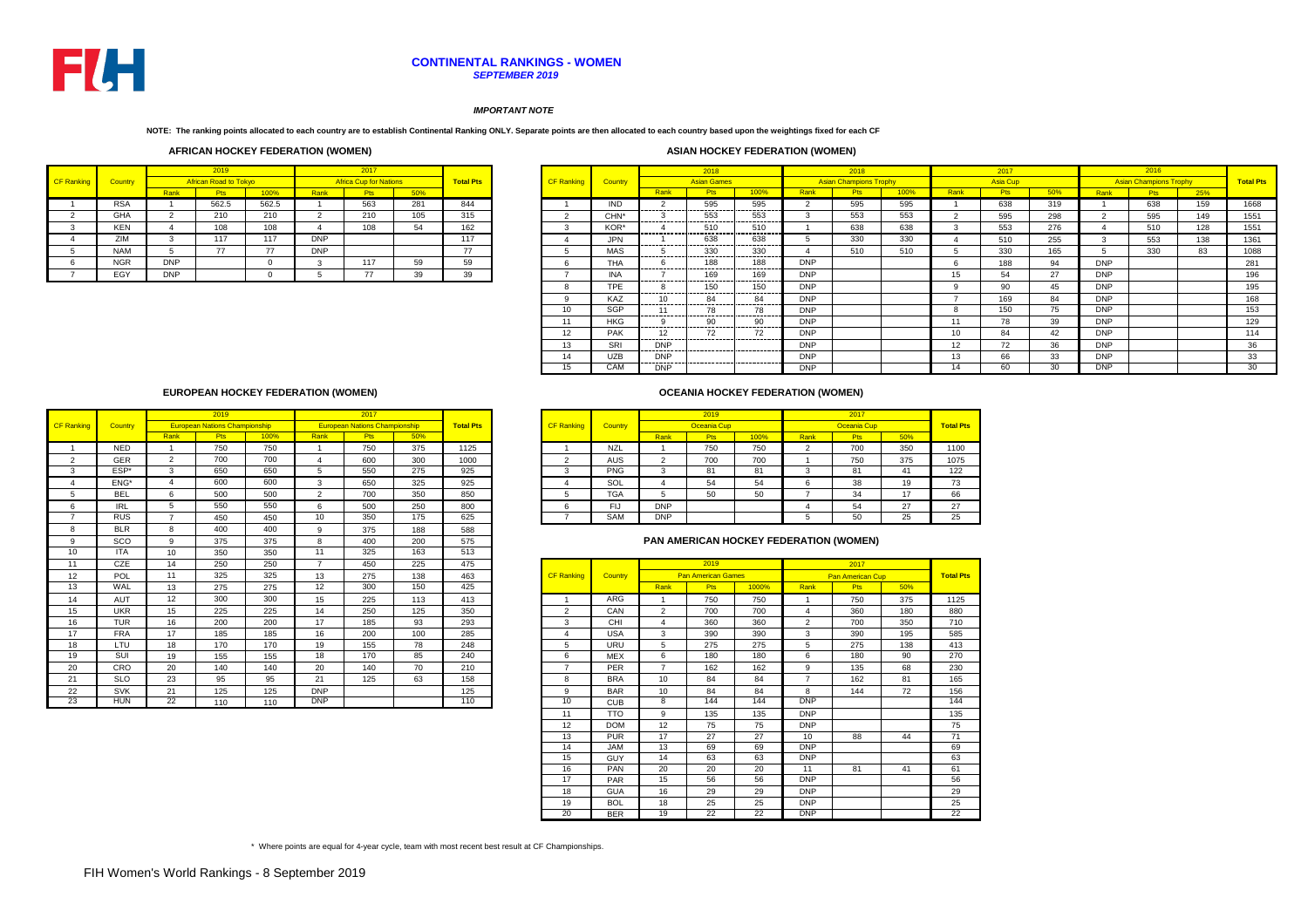|        |            |            | 2019                  |          |            | 2017                          |     |                  |                   |                  |                         | 2018                |                              |            | 2018                          |      |                 | 2017       |     |            | 2016                          |     |                  |
|--------|------------|------------|-----------------------|----------|------------|-------------------------------|-----|------------------|-------------------|------------------|-------------------------|---------------------|------------------------------|------------|-------------------------------|------|-----------------|------------|-----|------------|-------------------------------|-----|------------------|
| anking | Country    |            | African Road to Tokyo |          |            | <b>Africa Cup for Nations</b> |     | <b>Total Pts</b> | <b>CF Ranking</b> | Country          |                         | <b>Asian Games</b>  |                              |            | <b>Asian Champions Trophy</b> |      |                 | Asia Cup   |     |            | <b>Asian Champions Trophy</b> |     | <b>Total Pts</b> |
|        |            | Rank       | <b>Pts</b>            | 100%     | Rank       | <b>Pts</b>                    | 50% |                  |                   |                  | Rank                    | <b>Pts</b>          | 100%                         | Rank       |                               | 100% | Rank            | <b>Pts</b> | 50% | Rank       |                               | 25% |                  |
|        | <b>RSA</b> |            | 562.5                 | 562.5    |            | 563                           | 281 | 844              |                   | IND.             |                         | 595<br>--------     | 595<br>---------             |            | 595                           | 595  |                 | 638        | 319 |            | 638                           | 159 | 1668             |
|        | GHA        |            | 210                   | 210      |            | 210                           | 105 | 315              |                   | CHN <sup>*</sup> | .                       | 553<br>---------    | 553<br>----------            |            | 553                           | 553  |                 | 595        | 298 |            | 595                           | 149 | 1551             |
|        | <b>KEN</b> |            | 108                   | 108      |            | 108                           | 54  | 162              |                   | KOR*             | ------------            | 510<br>---------    | 510<br>                      |            | 638                           | 638  |                 | 553        | 276 |            | 510                           | 128 | 1551             |
|        | ZIM        |            | 117                   | 117      | <b>DNP</b> |                               |     | 117              |                   | <b>JPN</b>       |                         | 638                 | 638<br>---------             |            | 330                           | 330  |                 | 510        | 255 |            | 553                           | 138 | 1361             |
|        | <b>NAM</b> |            | 77                    | 77       | <b>DNP</b> |                               |     | 77               |                   | MAS              | -----------             | 330<br>.            | 330<br>                      |            | 510                           | 510  |                 | 330        | 165 |            | 330                           | 83  | 1088             |
|        | <b>NGR</b> | <b>DNP</b> |                       | $\Omega$ |            | 117                           | 59  | 59               |                   | <b>THA</b>       | ------------            | 188<br>------------ | 188<br>----------            | <b>DNP</b> |                               |      |                 | 188        | 94  | <b>DNP</b> |                               |     | 281              |
|        | EGY        | <b>DNP</b> |                       |          |            | $\overline{ }$                | 39  | 39               |                   | INA              |                         | 169                 | 169                          | <b>DNP</b> |                               |      | 15              | 54         | 27  | <b>DNP</b> |                               |     | 196              |
|        |            |            |                       |          |            |                               |     |                  |                   | TPE.             | ---------               | 150                 | --------<br>150<br>--------- | <b>DNP</b> |                               |      |                 | 90         | 45  | <b>DNP</b> |                               |     | 195              |
|        |            |            |                       |          |            |                               |     |                  |                   | <b>KAZ</b>       | ---------               | 84<br>.             | -84<br>---------             | <b>DNP</b> |                               |      |                 | 169        | 84  | <b>DNP</b> |                               |     | 168              |
|        |            |            |                       |          |            |                               |     |                  | 10                | <b>SGP</b>       |                         | 78                  | 78<br>---------              | <b>DNP</b> |                               |      |                 | 150        | 75  | <b>DNP</b> |                               |     | 153              |
|        |            |            |                       |          |            |                               |     |                  |                   | <b>HKG</b>       | ---------               | 90                  | 90<br>----------             | <b>DNP</b> |                               |      | 11              | 78         | 39  | <b>DNP</b> |                               |     | 129              |
|        |            |            |                       |          |            |                               |     |                  | 12 <sup>°</sup>   | <b>PAK</b>       | -----------             | ---------           | 72<br>-----------            | <b>DNP</b> |                               |      | 10 <sup>1</sup> | 84         | 42  | <b>DNP</b> |                               |     | 114              |
|        |            |            |                       |          |            |                               |     |                  | 13                | SRI              | <b>DNP</b><br>--------- |                     | ------------                 | <b>DNP</b> |                               |      | 12              | 72         | 36  | <b>DNP</b> |                               |     | 36               |
|        |            |            |                       |          |            |                               |     |                  | 14                | <b>UZB</b>       | <b>DNP</b>              |                     |                              | <b>DNP</b> |                               |      | 13              | 66         | 33  | <b>DNP</b> |                               |     | 33               |
|        |            |            |                       |          |            |                               |     |                  | 15                | CAM              | <b>DNP</b>              |                     |                              | <b>DNP</b> |                               |      | 14              | 60         | 20  | <b>DNP</b> |                               |     | 30               |

|      | 2019                                 |      |      |                                      |     |                  |                   |                |            |             |      |      |             |                    |  |
|------|--------------------------------------|------|------|--------------------------------------|-----|------------------|-------------------|----------------|------------|-------------|------|------|-------------|--------------------|--|
|      |                                      |      |      | 2017                                 |     |                  |                   |                |            | 2019        |      |      | 2017        |                    |  |
|      | <b>European Nations Championship</b> |      |      | <b>European Nations Championship</b> |     | <b>Total Pts</b> | <b>CF Ranking</b> | <b>Country</b> |            | Oceania Cup |      |      | Oceania Cup |                    |  |
| ∖ank | <b>Pts</b>                           | 100% | Rank | <b>Pts</b>                           | 50% |                  |                   |                | Rank       | Pts         | 100% | Rank | <b>Pts</b>  | 50%                |  |
|      | 750                                  | 750  |      | 750                                  | 375 | 1125             |                   | <b>NZL</b>     |            | 750         | 750  |      | 700         | 350                |  |
| ົ    | 700                                  | 700  |      | 600                                  | 300 | 1000             |                   | <b>AUS</b>     |            | 700         | 700  |      | 750         | 375                |  |
| 3    | 650                                  | 650  |      | 550                                  | 275 | 925              |                   | <b>PNG</b>     | ≂          | 81          | 81   |      | 81          | 41                 |  |
|      | 600                                  | 600  |      | 650                                  | 325 | 925              |                   | SOL            |            | 54          | 54   |      | 38          | 19                 |  |
| 6    | 500                                  | 500  |      | 700                                  | 350 | 850              |                   | <b>TGA</b>     |            | 50          | 50   |      | 34          | 17<br>$\mathbf{r}$ |  |
| 5    | 550                                  | 550  |      | 500                                  | 250 | 800              |                   | FIJ            | <b>DNP</b> |             |      |      | 54          | 27                 |  |
|      | 450                                  | 450  | 10   | 350                                  | 175 | 625              |                   | <b>SAM</b>     | <b>DNP</b> |             |      |      | 50          | 25                 |  |

|                   |            |                 | 2019                                 |      |                | 2017                                 |     |                  |
|-------------------|------------|-----------------|--------------------------------------|------|----------------|--------------------------------------|-----|------------------|
| <b>CF Ranking</b> | Country    |                 | <b>European Nations Championship</b> |      |                | <b>European Nations Championship</b> |     | <b>Total Pts</b> |
|                   |            | Rank            | <b>Pts</b>                           | 100% | Rank           | <b>Pts</b>                           | 50% |                  |
|                   | <b>NED</b> |                 | 750                                  | 750  |                | 750                                  | 375 | 1125             |
| $\overline{2}$    | GER        | 2               | 700                                  | 700  | $\overline{4}$ | 600                                  | 300 | 1000             |
| 3                 | ESP*       | 3               | 650                                  | 650  | 5              | 550                                  | 275 | 925              |
|                   | ENG*       | $\overline{4}$  | 600                                  | 600  | 3              | 650                                  | 325 | 925              |
| 5                 | <b>BEL</b> | 6               | 500                                  | 500  | $\overline{2}$ | 700                                  | 350 | 850              |
| 6                 | <b>IRL</b> | 5               | 550                                  | 550  | 6              | 500                                  | 250 | 800              |
| $\overline{7}$    | <b>RUS</b> | $\overline{z}$  | 450                                  | 450  | 10             | 350                                  | 175 | 625              |
| 8                 | <b>BLR</b> | 8               | 400                                  | 400  | 9              | 375                                  | 188 | 588              |
| 9                 | <b>SCO</b> | 9               | 375                                  | 375  | 8              | 400                                  | 200 | 575              |
| 10                | <b>ITA</b> | 10              | 350                                  | 350  | 11             | 325                                  | 163 | 513              |
| 11                | <b>CZE</b> | 14              | 250                                  | 250  | 7              | 450                                  | 225 | 475              |
| 12                | POL        | 11              | 325                                  | 325  | 13             | 275                                  | 138 | 463              |
| 13                | <b>WAL</b> | 13              | 275                                  | 275  | 12             | 300                                  | 150 | 425              |
| 14                | <b>AUT</b> | 12              | 300                                  | 300  | 15             | 225                                  | 113 | 413              |
| 15                | <b>UKR</b> | 15              | 225                                  | 225  | 14             | 250                                  | 125 | 350              |
| 16                | <b>TUR</b> | 16              | 200                                  | 200  | 17             | 185                                  | 93  | 293              |
| 17                | <b>FRA</b> | 17              | 185                                  | 185  | 16             | 200                                  | 100 | 285              |
| 18                | LTU        | 18              | 170                                  | 170  | 19             | 155                                  | 78  | 248              |
| 19                | SUI        | 19              | 155                                  | 155  | 18             | 170                                  | 85  | 240              |
| 20                | CRO        | 20              | 140                                  | 140  | 20             | 140                                  | 70  | 210              |
| 21                | <b>SLO</b> | 23              | 95                                   | 95   | 21             | 125                                  | 63  | 158              |
| 22                | <b>SVK</b> | 21              | 125                                  | 125  | <b>DNP</b>     |                                      |     | 125              |
|                   |            | $\overline{22}$ |                                      | 110  | DNP            |                                      |     | 110              |
| 23                | <b>HUN</b> |                 | 110                                  |      |                |                                      |     |                  |

## *IMPORTANT NOTE*

**NOTE: The ranking points allocated to each country are to establish Continental Ranking ONLY. Separate points are then allocated to each country based upon the weightings fixed for each CF** 

# **CONTINENTAL RANKINGS - WOMEN** *SEPTEMBER 2019*



## **AFRICAN HOCKEY FEDERATION (WOMEN) ASIAN HOCKEY FEDERATION (WOMEN)**

|                   |                |            | 2019                         |             |            | 2017                          |     |                  |
|-------------------|----------------|------------|------------------------------|-------------|------------|-------------------------------|-----|------------------|
| <b>CF Ranking</b> | <b>Country</b> |            | <b>African Road to Tokyo</b> |             |            | <b>Africa Cup for Nations</b> |     | <b>Total Pts</b> |
|                   |                | Rank       | <b>Pts</b>                   | <b>100%</b> | Rank       | <b>Pts</b>                    | 50% |                  |
|                   | <b>RSA</b>     |            | 562.5                        | 562.5       |            | 563                           | 281 | 844              |
| 2                 | <b>GHA</b>     | ົ          | 210                          | 210         | 2          | 210                           | 105 | 315              |
| 3                 | <b>KEN</b>     |            | 108                          | 108         | 4          | 108                           | 54  | 162              |
| 4                 | ZIM            | 3          | 117                          | 117         | <b>DNP</b> |                               |     | 117              |
| 5                 | <b>NAM</b>     | 5          | 77                           | 77          | <b>DNP</b> |                               |     | 77               |
| 6                 | <b>NGR</b>     | <b>DNP</b> |                              | $\Omega$    | 3          | 117                           | 59  | 59               |
|                   | EGY            | <b>DNP</b> |                              | $\Omega$    | 5          | 77                            | 39  | 39               |

|                   |                |                | 2019                      |                 |                | 2017                    |     |                  |
|-------------------|----------------|----------------|---------------------------|-----------------|----------------|-------------------------|-----|------------------|
| <b>CF Ranking</b> | <b>Country</b> |                | <b>Pan American Games</b> |                 |                | <b>Pan American Cup</b> |     | <b>Total Pts</b> |
|                   |                | Rank           | Pts                       | 1000%           | <b>Rank</b>    | <b>Pts</b>              | 50% |                  |
| 1                 | ARG            | 1              | 750                       | 750             | 1              | 750                     | 375 | 1125             |
| $\overline{2}$    | CAN            | $\overline{2}$ | 700                       | 700             | 4              | 360                     | 180 | 880              |
| 3                 | <b>CHI</b>     | 4              | 360                       | 360             | 2              | 700                     | 350 | 710              |
| 4                 | <b>USA</b>     | 3              | 390                       | 390             | 3              | 390                     | 195 | 585              |
| 5                 | <b>URU</b>     | 5              | 275                       | 275             | 5              | 275                     | 138 | 413              |
| 6                 | <b>MEX</b>     | 6              | 180                       | 180             | 6              | 180                     | 90  | 270              |
| $\overline{7}$    | <b>PER</b>     | $\overline{7}$ | 162                       | 162             | 9              | 135                     | 68  | 230              |
| 8                 | <b>BRA</b>     | 10             | 84                        | 84              | $\overline{7}$ | 162                     | 81  | 165              |
| 9                 | <b>BAR</b>     | 10             | 84                        | 84              | 8              | 144                     | 72  | 156              |
| 10                | <b>CUB</b>     | 8              | 144                       | 144             | DNP            |                         |     | 144              |
| 11                | TTO            | 9              | 135                       | 135             | <b>DNP</b>     |                         |     | 135              |
| 12                | <b>DOM</b>     | 12             | 75                        | 75              | <b>DNP</b>     |                         |     | 75               |
| 13                | <b>PUR</b>     | 17             | 27                        | 27              | 10             | 88                      | 44  | 71               |
| 14                | <b>JAM</b>     | 13             | 69                        | 69              | <b>DNP</b>     |                         |     | 69               |
| 15                | <b>GUY</b>     | 14             | 63                        | 63              | <b>DNP</b>     |                         |     | 63               |
| 16                | <b>PAN</b>     | 20             | 20                        | 20              | 11             | 81                      | 41  | 61               |
| 17                | <b>PAR</b>     | 15             | 56                        | 56              | <b>DNP</b>     |                         |     | 56               |
| 18                | <b>GUA</b>     | 16             | 29                        | 29              | <b>DNP</b>     |                         |     | 29               |
| 19                | <b>BOL</b>     | 18             | 25                        | 25              | <b>DNP</b>     |                         |     | 25               |
| $\overline{20}$   | <b>BER</b>     | 19             | $\overline{22}$           | $\overline{22}$ | <b>DNP</b>     |                         |     | 22               |

# **OCEANIA HOCKEY FEDERATION (WOMEN)**

# **EUROPEAN HOCKEY FEDERATION (WOMEN)**

\* Where points are equal for 4-year cycle, team with most recent best result at CF Championships.

# **PAN AMERICAN HOCKEY FEDERATION (WOMEN)**

| 50% | <b>Total Pts</b> |
|-----|------------------|
| 375 | 1125             |
| 180 | 880              |
| 350 | 710              |
| 195 | 585              |
| 138 | 413              |
| 90  | 270              |
| 68  | 230              |
| 81  | 165              |
| 72  | 156              |
|     | 144              |
|     | 135              |
|     | 75               |
| 44  | 71               |
|     | 69               |
|     | 63               |
| 41  | 61               |
|     | 56               |
|     | 29               |
|     | 25               |
|     | $\overline{22}$  |